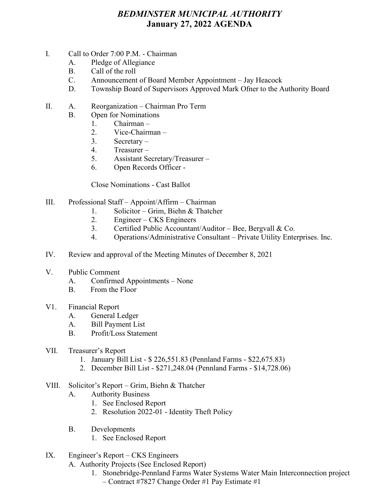## *BEDMINSTER MUNICIPAL AUTHORITY* **January 27, 2022 AGENDA**

- I. Call to Order 7:00 P.M. Chairman
	- A. Pledge of Allegiance
	- B. Call of the roll
	- C. Announcement of Board Member Appointment Jay Heacock
	- D. Township Board of Supervisors Approved Mark Ofner to the Authority Board
- II. A. Reorganization Chairman Pro Term
	- B. Open for Nominations
		- 1. Chairman –
		- 2. Vice-Chairman –
		- 3. Secretary –
		- 4. Treasurer –
		- 5. Assistant Secretary/Treasurer –
		- 6. Open Records Officer -

Close Nominations - Cast Ballot

- III. Professional Staff Appoint/Affirm Chairman
	- 1. Solicitor Grim, Biehn & Thatcher
	- 2. Engineer CKS Engineers
	- 3. Certified Public Accountant/Auditor Bee, Bergvall & Co.
	- 4. Operations/Administrative Consultant Private Utility Enterprises. Inc.
- IV. Review and approval of the Meeting Minutes of December 8, 2021
- V. Public Comment
	- A. Confirmed Appointments None
	- B. From the Floor
- V1. Financial Report
	- A. General Ledger
	- A. Bill Payment List
	- B. Profit/Loss Statement
- VII. Treasurer's Report
	- 1. January Bill List \$ 226,551.83 (Pennland Farms \$22,675.83)
	- 2. December Bill List \$271,248.04 (Pennland Farms \$14,728.06)

## VIII. Solicitor's Report – Grim, Biehn & Thatcher

- A. Authority Business
	- 1. See Enclosed Report
	- 2. Resolution 2022-01 Identity Theft Policy
- B. Developments
	- 1. See Enclosed Report
- IX. Engineer's Report CKS Engineers

A. Authority Projects (See Enclosed Report)

1. Stonebridge-Pennland Farms Water Systems Water Main Interconnection project – Contract #7827 Change Order #1 Pay Estimate #1